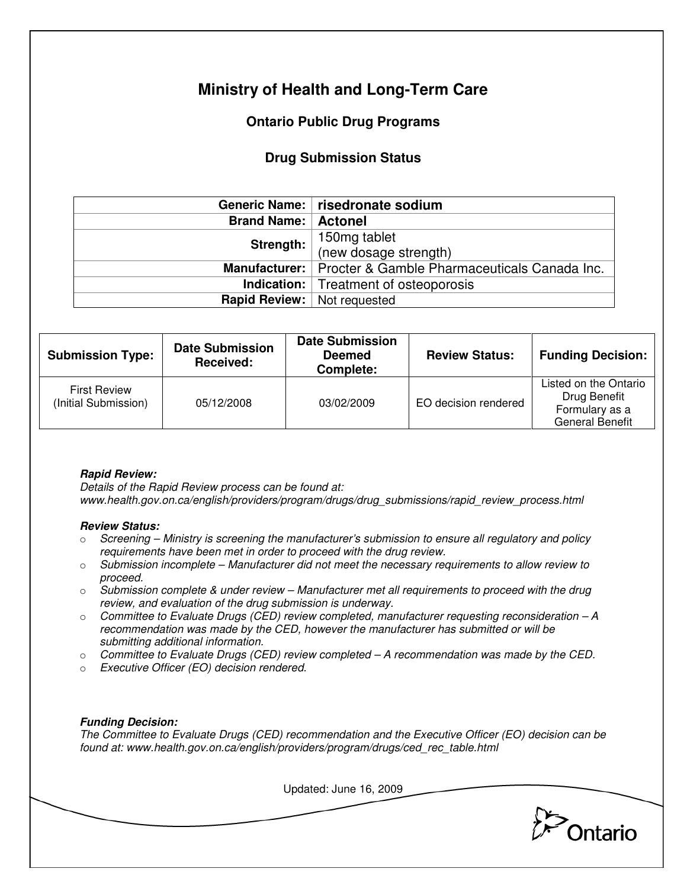# **Ministry of Health and Long-Term Care**

## **Ontario Public Drug Programs**

### **Drug Submission Status**

|                                    | Generic Name:   risedronate sodium                           |  |
|------------------------------------|--------------------------------------------------------------|--|
| <b>Brand Name:   Actonel</b>       |                                                              |  |
| Strength:                          | 150mg tablet<br>(new dosage strength)                        |  |
|                                    |                                                              |  |
|                                    | Manufacturer:   Procter & Gamble Pharmaceuticals Canada Inc. |  |
|                                    | <b>Indication:</b> Treatment of osteoporosis                 |  |
| <b>Rapid Review:</b> Not requested |                                                              |  |

| <b>Submission Type:</b>                     | <b>Date Submission</b><br>Received: | <b>Date Submission</b><br><b>Deemed</b><br>Complete: | <b>Review Status:</b> | <b>Funding Decision:</b>                                                          |
|---------------------------------------------|-------------------------------------|------------------------------------------------------|-----------------------|-----------------------------------------------------------------------------------|
| <b>First Review</b><br>(Initial Submission) | 05/12/2008                          | 03/02/2009                                           | EO decision rendered  | Listed on the Ontario<br>Drug Benefit<br>Formulary as a<br><b>General Benefit</b> |

#### **Rapid Review:**

Details of the Rapid Review process can be found at: www.health.gov.on.ca/english/providers/program/drugs/drug\_submissions/rapid\_review\_process.html

#### **Review Status:**

- $\circ$  Screening Ministry is screening the manufacturer's submission to ensure all regulatory and policy requirements have been met in order to proceed with the drug review.
- $\circ$  Submission incomplete Manufacturer did not meet the necessary requirements to allow review to proceed.
- $\circ$  Submission complete & under review Manufacturer met all requirements to proceed with the drug review, and evaluation of the drug submission is underway.
- $\circ$  Committee to Evaluate Drugs (CED) review completed, manufacturer requesting reconsideration  $-A$ recommendation was made by the CED, however the manufacturer has submitted or will be submitting additional information.
- $\circ$  Committee to Evaluate Drugs (CED) review completed  $-A$  recommendation was made by the CED.
- o Executive Officer (EO) decision rendered.

#### **Funding Decision:**

The Committee to Evaluate Drugs (CED) recommendation and the Executive Officer (EO) decision can be found at: www.health.gov.on.ca/english/providers/program/drugs/ced\_rec\_table.html

Updated: June 16, 2009